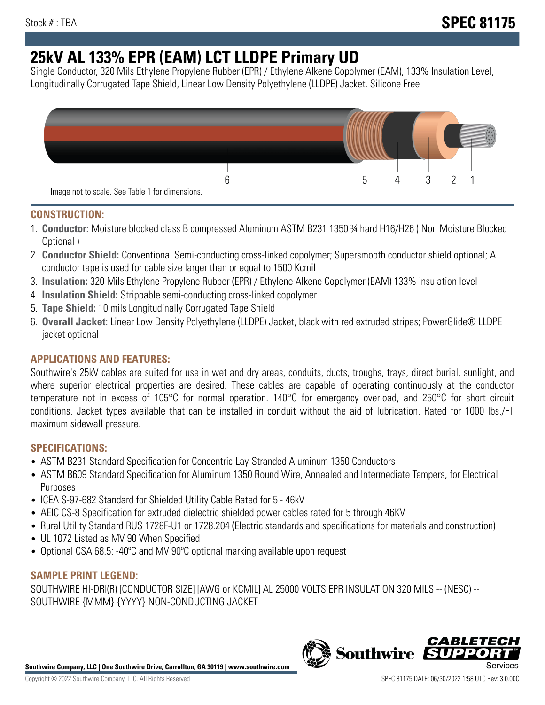# **25kV AL 133% EPR (EAM) LCT LLDPE Primary UD**

Single Conductor, 320 Mils Ethylene Propylene Rubber (EPR) / Ethylene Alkene Copolymer (EAM), 133% Insulation Level, Longitudinally Corrugated Tape Shield, Linear Low Density Polyethylene (LLDPE) Jacket. Silicone Free



## **CONSTRUCTION:**

- 1. **Conductor:** Moisture blocked class B compressed Aluminum ASTM B231 1350 ¾ hard H16/H26 ( Non Moisture Blocked Optional )
- 2. **Conductor Shield:** Conventional Semi-conducting cross-linked copolymer; Supersmooth conductor shield optional; A conductor tape is used for cable size larger than or equal to 1500 Kcmil
- 3. **Insulation:** 320 Mils Ethylene Propylene Rubber (EPR) / Ethylene Alkene Copolymer (EAM) 133% insulation level
- 4. **Insulation Shield:** Strippable semi-conducting cross-linked copolymer
- 5. **Tape Shield:** 10 mils Longitudinally Corrugated Tape Shield
- 6. **Overall Jacket:** Linear Low Density Polyethylene (LLDPE) Jacket, black with red extruded stripes; PowerGlide® LLDPE jacket optional

# **APPLICATIONS AND FEATURES:**

Southwire's 25kV cables are suited for use in wet and dry areas, conduits, ducts, troughs, trays, direct burial, sunlight, and where superior electrical properties are desired. These cables are capable of operating continuously at the conductor temperature not in excess of 105°C for normal operation. 140°C for emergency overload, and 250°C for short circuit conditions. Jacket types available that can be installed in conduit without the aid of lubrication. Rated for 1000 lbs./FT maximum sidewall pressure.

## **SPECIFICATIONS:**

- ASTM B231 Standard Specification for Concentric-Lay-Stranded Aluminum 1350 Conductors
- ASTM B609 Standard Specification for Aluminum 1350 Round Wire, Annealed and Intermediate Tempers, for Electrical Purposes
- ICEA S-97-682 Standard for Shielded Utility Cable Rated for 5 46kV
- AEIC CS-8 Specification for extruded dielectric shielded power cables rated for 5 through 46KV
- Rural Utility Standard RUS 1728F-U1 or 1728.204 (Electric standards and specifications for materials and construction)
- UL 1072 Listed as MV 90 When Specified
- Optional CSA 68.5: -40ºC and MV 90ºC optional marking available upon request

## **SAMPLE PRINT LEGEND:**

SOUTHWIRE HI-DRI(R) [CONDUCTOR SIZE] [AWG or KCMIL] AL 25000 VOLTS EPR INSULATION 320 MILS -- (NESC) -- SOUTHWIRE {MMM} {YYYY} NON-CONDUCTING JACKET



**Southwire** 

*CABLE*